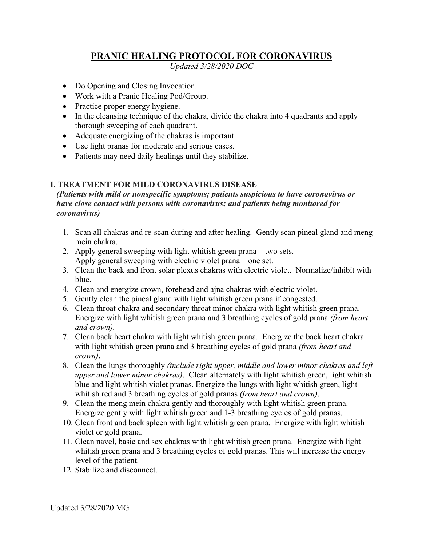## **PRANIC HEALING PROTOCOL FOR CORONAVIRUS**

*Updated 3/28/2020 DOC*

- Do Opening and Closing Invocation.
- Work with a Pranic Healing Pod/Group.
- Practice proper energy hygiene.
- In the cleansing technique of the chakra, divide the chakra into 4 quadrants and apply thorough sweeping of each quadrant.
- Adequate energizing of the chakras is important.
- Use light pranas for moderate and serious cases.
- Patients may need daily healings until they stabilize.

## **I. TREATMENT FOR MILD CORONAVIRUS DISEASE**

*(Patients with mild or nonspecific symptoms; patients suspicious to have coronavirus or have close contact with persons with coronavirus; and patients being monitored for coronavirus)*

- 1. Scan all chakras and re-scan during and after healing. Gently scan pineal gland and meng mein chakra.
- 2. Apply general sweeping with light whitish green prana two sets. Apply general sweeping with electric violet prana – one set.
- 3. Clean the back and front solar plexus chakras with electric violet. Normalize/inhibit with blue.
- 4. Clean and energize crown, forehead and ajna chakras with electric violet.
- 5. Gently clean the pineal gland with light whitish green prana if congested.
- 6. Clean throat chakra and secondary throat minor chakra with light whitish green prana. Energize with light whitish green prana and 3 breathing cycles of gold prana *(from heart and crown).*
- 7. Clean back heart chakra with light whitish green prana. Energize the back heart chakra with light whitish green prana and 3 breathing cycles of gold prana *(from heart and crown)*.
- 8. Clean the lungs thoroughly *(include right upper, middle and lower minor chakras and left upper and lower minor chakras)*. Clean alternately with light whitish green, light whitish blue and light whitish violet pranas. Energize the lungs with light whitish green, light whitish red and 3 breathing cycles of gold pranas *(from heart and crown)*.
- 9. Clean the meng mein chakra gently and thoroughly with light whitish green prana. Energize gently with light whitish green and 1-3 breathing cycles of gold pranas.
- 10. Clean front and back spleen with light whitish green prana. Energize with light whitish violet or gold prana.
- 11. Clean navel, basic and sex chakras with light whitish green prana. Energize with light whitish green prana and 3 breathing cycles of gold pranas. This will increase the energy level of the patient.
- 12. Stabilize and disconnect.